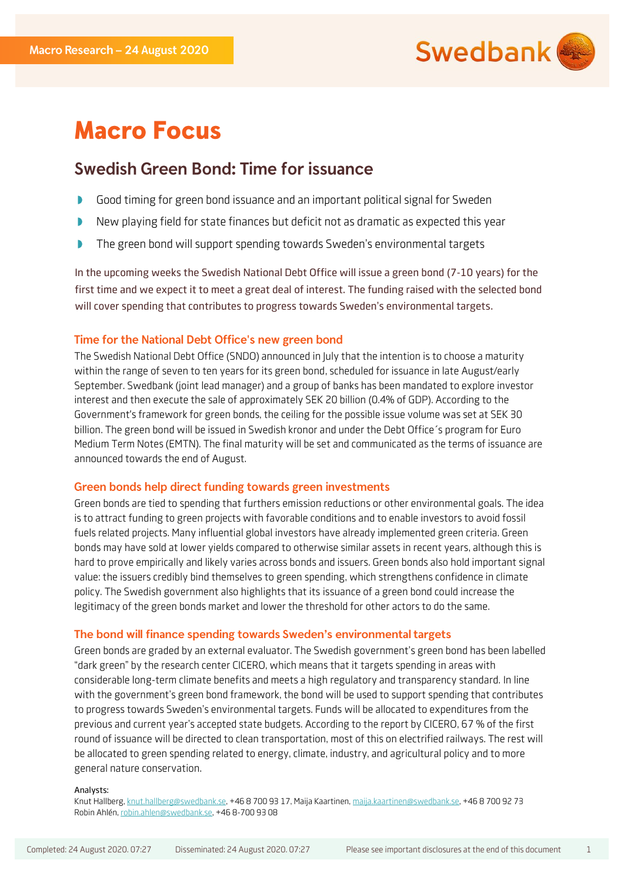

# **Macro Focus**

## Swedish Green Bond: Time for issuance

- $\begin{array}{c} \hline \end{array}$ Good timing for green bond issuance and an important political signal for Sweden
- New playing field for state finances but deficit not as dramatic as expected this year  $\mathbf{D}$
- D The green bond will support spending towards Sweden's environmental targets

In the upcoming weeks the Swedish National Debt Office will issue a green bond (7-10 years) for the first time and we expect it to meet a great deal of interest. The funding raised with the selected bond will cover spending that contributes to progress towards Sweden's environmental targets.

## Time for the National Debt Office's new green bond

The Swedish National Debt Office (SNDO) announced in July that the intention is to choose a maturity within the range of seven to ten years for its green bond, scheduled for issuance in late August/early September. Swedbank (joint lead manager) and a group of banks has been mandated to explore investor interest and then execute the sale of approximately SEK 20 billion (0.4% of GDP). According to the Government's framework for green bonds, the ceiling for the possible issue volume was set at SEK 30 billion. The green bond will be issued in Swedish kronor and under the Debt Office´s program for Euro Medium Term Notes (EMTN). The final maturity will be set and communicated as the terms of issuance are announced towards the end of August.

## Green bonds help direct funding towards green investments

Green bonds are tied to spending that furthers emission reductions or other environmental goals. The idea is to attract funding to green projects with favorable conditions and to enable investors to avoid fossil fuels related projects. Many influential global investors have already implemented green criteria. Green bonds may have sold at lower yields compared to otherwise similar assets in recent years, although this is hard to prove empirically and likely varies across bonds and issuers. Green bonds also hold important signal value: the issuers credibly bind themselves to green spending, which strengthens confidence in climate policy. The Swedish government also highlights that its issuance of a green bond could increase the legitimacy of the green bonds market and lower the threshold for other actors to do the same.

## The bond will finance spending towards Sweden's environmental targets

Green bonds are graded by an external evaluator. The Swedish government's green bond has been labelled "dark green" by the research center CICERO, which means that it targets spending in areas with considerable long-term climate benefits and meets a high regulatory and transparency standard. In line with the government's green bond framework, the bond will be used to support spending that contributes to progress towards Sweden's environmental targets. Funds will be allocated to expenditures from the previous and current year's accepted state budgets. According to the report by CICERO, 67 % of the first round of issuance will be directed to clean transportation, most of this on electrified railways. The rest will be allocated to green spending related to energy, climate, industry, and agricultural policy and to more general nature conservation.

#### Analysts:

Knut Hallberg, knut.hallberg@swedbank.se, +46 8 700 93 17, Maija Kaartinen, maija.kaartinen@swedbank.se, +46 8 700 92 73 Robin Ahlén, robin.ahlen@swedbank.se, +46 8-700 93 08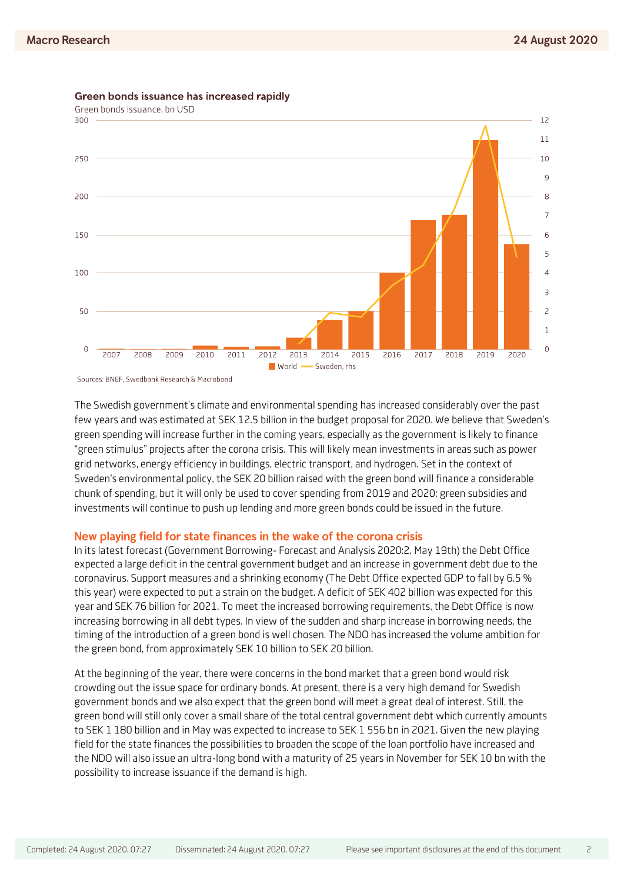

Green bonds issuance has increased rapidly

The Swedish government's climate and environmental spending has increased considerably over the past few years and was estimated at SEK 12.5 billion in the budget proposal for 2020. We believe that Sweden's green spending will increase further in the coming years, especially as the government is likely to finance "green stimulus" projects after the corona crisis. This will likely mean investments in areas such as power grid networks, energy efficiency in buildings, electric transport, and hydrogen. Set in the context of Sweden's environmental policy, the SEK 20 billion raised with the green bond will finance a considerable chunk of spending, but it will only be used to cover spending from 2019 and 2020: green subsidies and investments will continue to push up lending and more green bonds could be issued in the future.

### New playing field for state finances in the wake of the corona crisis

In its latest forecast (Government Borrowing- Forecast and Analysis 2020:2, May 19th) the Debt Office expected a large deficit in the central government budget and an increase in government debt due to the coronavirus. Support measures and a shrinking economy (The Debt Office expected GDP to fall by 6.5 % this year) were expected to put a strain on the budget. A deficit of SEK 402 billion was expected for this year and SEK 76 billion for 2021. To meet the increased borrowing requirements, the Debt Office is now increasing borrowing in all debt types. In view of the sudden and sharp increase in borrowing needs, the timing of the introduction of a green bond is well chosen. The NDO has increased the volume ambition for the green bond, from approximately SEK 10 billion to SEK 20 billion.

At the beginning of the year, there were concerns in the bond market that a green bond would risk crowding out the issue space for ordinary bonds. At present, there is a very high demand for Swedish government bonds and we also expect that the green bond will meet a great deal of interest. Still, the green bond will still only cover a small share of the total central government debt which currently amounts to SEK 1 180 billion and in May was expected to increase to SEK 1 556 bn in 2021. Given the new playing field for the state finances the possibilities to broaden the scope of the loan portfolio have increased and the NDO will also issue an ultra-long bond with a maturity of 25 years in November for SEK 10 bn with the possibility to increase issuance if the demand is high.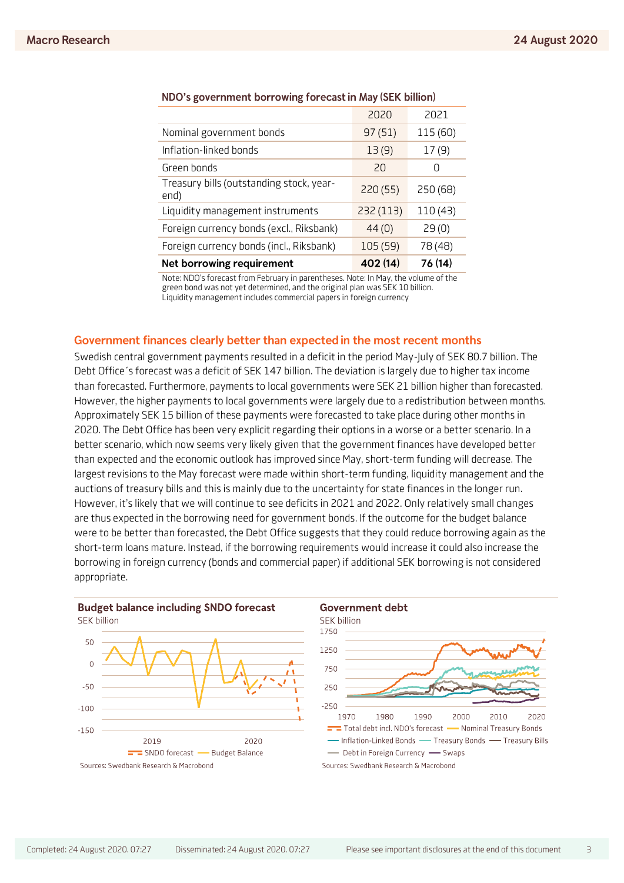|                                                  | 2020      | 2021             |
|--------------------------------------------------|-----------|------------------|
| Nominal government bonds                         | 97(51)    | 115 (60)         |
| Inflation-linked bonds                           | 13(9)     | 17(9)            |
| Green bonds                                      | 20        | $\left( \right)$ |
| Treasury bills (outstanding stock, year-<br>end) | 220 (55)  | 250 (68)         |
| Liquidity management instruments                 | 232 (113) | 110 (43)         |
| Foreign currency bonds (excl., Riksbank)         | 44(0)     | 29(0)            |
| Foreign currency bonds (incl., Riksbank)         | 105 (59)  | 78 (48)          |
| Net borrowing requirement                        | 402 (14)  | 76 (14)          |

### NDO's government borrowing forecast in May (SEK billion)

Note: NDO's forecast from February in parentheses. Note: In May, the volume of the green bond was not yet determined, and the original plan was SEK 10 billion. Liquidity management includes commercial papers in foreign currency

## Government finances clearly better than expected in the most recent months

Swedish central government payments resulted in a deficit in the period May-July of SEK 80.7 billion. The Debt Office´s forecast was a deficit of SEK 147 billion. The deviation is largely due to higher tax income than forecasted. Furthermore, payments to local governments were SEK 21 billion higher than forecasted. However, the higher payments to local governments were largely due to a redistribution between months. Approximately SEK 15 billion of these payments were forecasted to take place during other months in 2020. The Debt Office has been very explicit regarding their options in a worse or a better scenario. In a better scenario, which now seems very likely given that the government finances have developed better than expected and the economic outlook has improved since May, short-term funding will decrease. The largest revisions to the May forecast were made within short-term funding, liquidity management and the auctions of treasury bills and this is mainly due to the uncertainty for state finances in the longer run. However, it's likely that we will continue to see deficits in 2021 and 2022. Only relatively small changes are thus expected in the borrowing need for government bonds. If the outcome for the budget balance were to be better than forecasted, the Debt Office suggests that they could reduce borrowing again as the short-term loans mature. Instead, if the borrowing requirements would increase it could also increase the borrowing in foreign currency (bonds and commercial paper) if additional SEK borrowing is not considered appropriate.



2020

2010